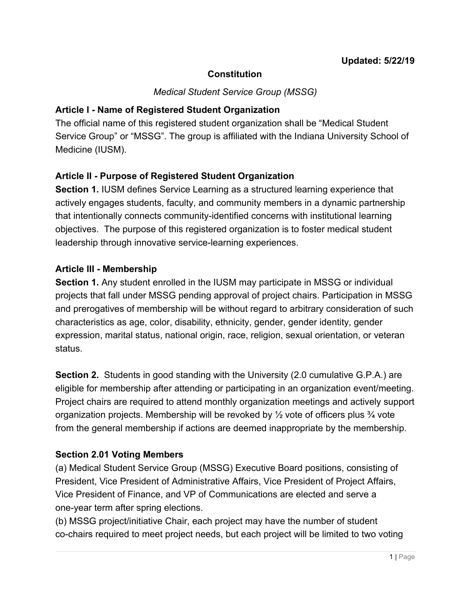## **Constitution**

*Medical Student Service Group (MSSG)*

#### **Article I - Name of Registered Student Organization**

The official name of this registered student organization shall be "Medical Student Service Group" or "MSSG". The group is affiliated with the Indiana University School of Medicine (IUSM).

# **Article II - Purpose of Registered Student Organization**

**Section 1. IUSM defines Service Learning as a structured learning experience that** actively engages students, faculty, and community members in a dynamic partnership that intentionally connects community-identified concerns with institutional learning objectives. The purpose of this registered organization is to foster medical student leadership through innovative service-learning experiences.

#### **Article III - Membership**

**Section 1.** Any student enrolled in the IUSM may participate in MSSG or individual projects that fall under MSSG pending approval of project chairs. Participation in MSSG and prerogatives of membership will be without regard to arbitrary consideration of such characteristics as age, color, disability, ethnicity, gender, gender identity, gender expression, marital status, national origin, race, religion, sexual orientation, or veteran status.

**Section 2.** Students in good standing with the University (2.0 cumulative G.P.A.) are eligible for membership after attending or participating in an organization event/meeting. Project chairs are required to attend monthly organization meetings and actively support organization projects. Membership will be revoked by  $\frac{1}{2}$  vote of officers plus  $\frac{3}{4}$  vote from the general membership if actions are deemed inappropriate by the membership.

## **Section 2.01 Voting Members**

(a) Medical Student Service Group (MSSG) Executive Board positions, consisting of President, Vice President of Administrative Affairs, Vice President of Project Affairs, Vice President of Finance, and VP of Communications are elected and serve a one-year term after spring elections.

(b) MSSG project/initiative Chair, each project may have the number of student co-chairs required to meet project needs, but each project will be limited to two voting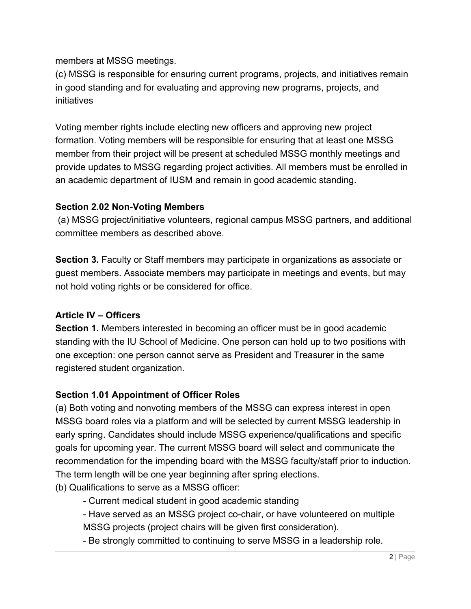members at MSSG meetings.

(c) MSSG is responsible for ensuring current programs, projects, and initiatives remain in good standing and for evaluating and approving new programs, projects, and initiatives

Voting member rights include electing new officers and approving new project formation. Voting members will be responsible for ensuring that at least one MSSG member from their project will be present at scheduled MSSG monthly meetings and provide updates to MSSG regarding project activities. All members must be enrolled in an academic department of IUSM and remain in good academic standing.

#### **Section 2.02 Non-Voting Members**

 (a) MSSG project/initiative volunteers, regional campus MSSG partners, and additional committee members as described above.

**Section 3.** Faculty or Staff members may participate in organizations as associate or guest members. Associate members may participate in meetings and events, but may not hold voting rights or be considered for office.

## **Article IV – Officers**

**Section 1.** Members interested in becoming an officer must be in good academic standing with the IU School of Medicine. One person can hold up to two positions with one exception: one person cannot serve as President and Treasurer in the same registered student organization.

## **Section 1.01 Appointment of Officer Roles**

(a) Both voting and nonvoting members of the MSSG can express interest in open MSSG board roles via a platform and will be selected by current MSSG leadership in early spring. Candidates should include MSSG experience/qualifications and specific goals for upcoming year. The current MSSG board will select and communicate the recommendation for the impending board with the MSSG faculty/staff prior to induction. The term length will be one year beginning after spring elections.

(b) Qualifications to serve as a MSSG officer:

- Current medical student in good academic standing
- Have served as an MSSG project co-chair, or have volunteered on multiple MSSG projects (project chairs will be given first consideration).
- Be strongly committed to continuing to serve MSSG in a leadership role.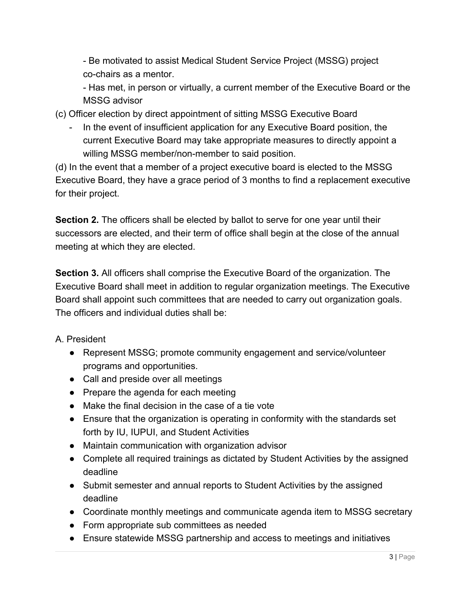- Be motivated to assist Medical Student Service Project (MSSG) project co-chairs as a mentor.

- Has met, in person or virtually, a current member of the Executive Board or the MSSG advisor

(c) Officer election by direct appointment of sitting MSSG Executive Board

- In the event of insufficient application for any Executive Board position, the current Executive Board may take appropriate measures to directly appoint a willing MSSG member/non-member to said position.

(d) In the event that a member of a project executive board is elected to the MSSG Executive Board, they have a grace period of 3 months to find a replacement executive for their project.

**Section 2.** The officers shall be elected by ballot to serve for one year until their successors are elected, and their term of office shall begin at the close of the annual meeting at which they are elected.

**Section 3.** All officers shall comprise the Executive Board of the organization. The Executive Board shall meet in addition to regular organization meetings. The Executive Board shall appoint such committees that are needed to carry out organization goals. The officers and individual duties shall be:

A. President

- Represent MSSG; promote community engagement and service/volunteer programs and opportunities.
- Call and preside over all meetings
- Prepare the agenda for each meeting
- Make the final decision in the case of a tie vote
- Ensure that the organization is operating in conformity with the standards set forth by IU, IUPUI, and Student Activities
- Maintain communication with organization advisor
- Complete all required trainings as dictated by Student Activities by the assigned deadline
- Submit semester and annual reports to Student Activities by the assigned deadline
- Coordinate monthly meetings and communicate agenda item to MSSG secretary
- Form appropriate sub committees as needed
- Ensure statewide MSSG partnership and access to meetings and initiatives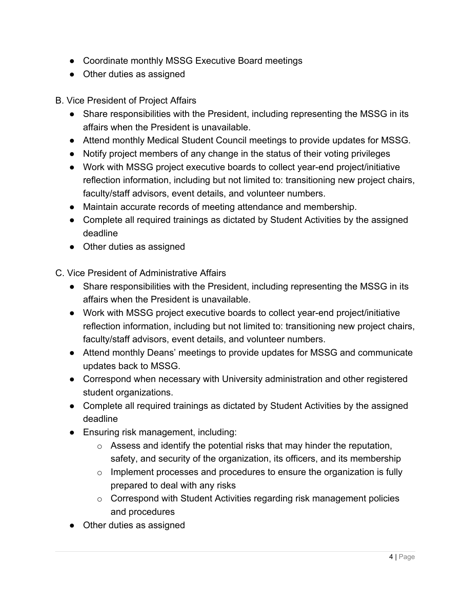- Coordinate monthly MSSG Executive Board meetings
- Other duties as assigned

B. Vice President of Project Affairs

- Share responsibilities with the President, including representing the MSSG in its affairs when the President is unavailable.
- Attend monthly Medical Student Council meetings to provide updates for MSSG.
- Notify project members of any change in the status of their voting privileges
- Work with MSSG project executive boards to collect year-end project/initiative reflection information, including but not limited to: transitioning new project chairs, faculty/staff advisors, event details, and volunteer numbers.
- Maintain accurate records of meeting attendance and membership.
- Complete all required trainings as dictated by Student Activities by the assigned deadline
- Other duties as assigned

C. Vice President of Administrative Affairs

- Share responsibilities with the President, including representing the MSSG in its affairs when the President is unavailable.
- Work with MSSG project executive boards to collect year-end project/initiative reflection information, including but not limited to: transitioning new project chairs, faculty/staff advisors, event details, and volunteer numbers.
- Attend monthly Deans' meetings to provide updates for MSSG and communicate updates back to MSSG.
- Correspond when necessary with University administration and other registered student organizations.
- Complete all required trainings as dictated by Student Activities by the assigned deadline
- Ensuring risk management, including:
	- $\circ$  Assess and identify the potential risks that may hinder the reputation, safety, and security of the organization, its officers, and its membership
	- $\circ$  Implement processes and procedures to ensure the organization is fully prepared to deal with any risks
	- o Correspond with Student Activities regarding risk management policies and procedures
- Other duties as assigned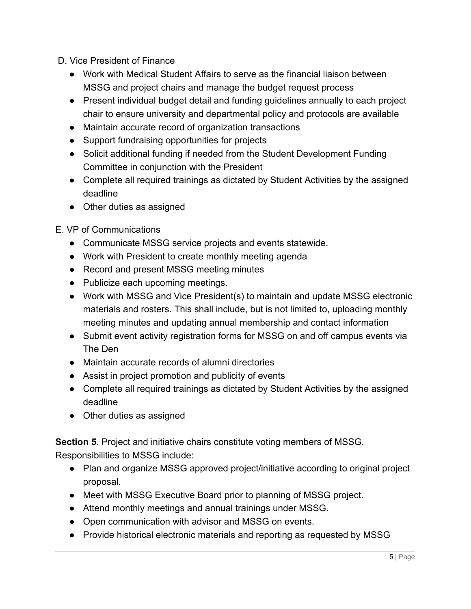- D. Vice President of Finance
	- Work with Medical Student Affairs to serve as the financial liaison between MSSG and project chairs and manage the budget request process
	- Present individual budget detail and funding guidelines annually to each project chair to ensure university and departmental policy and protocols are available
	- Maintain accurate record of organization transactions
	- Support fundraising opportunities for projects
	- Solicit additional funding if needed from the Student Development Funding Committee in conjunction with the President
	- Complete all required trainings as dictated by Student Activities by the assigned deadline
	- Other duties as assigned

E. VP of Communications

- Communicate MSSG service projects and events statewide.
- Work with President to create monthly meeting agenda
- Record and present MSSG meeting minutes
- Publicize each upcoming meetings.
- Work with MSSG and Vice President(s) to maintain and update MSSG electronic materials and rosters. This shall include, but is not limited to, uploading monthly meeting minutes and updating annual membership and contact information
- Submit event activity registration forms for MSSG on and off campus events via The Den
- Maintain accurate records of alumni directories
- Assist in project promotion and publicity of events
- Complete all required trainings as dictated by Student Activities by the assigned deadline
- Other duties as assigned

**Section 5.** Project and initiative chairs constitute voting members of MSSG.

Responsibilities to MSSG include:

- Plan and organize MSSG approved project/initiative according to original project proposal.
- Meet with MSSG Executive Board prior to planning of MSSG project.
- Attend monthly meetings and annual trainings under MSSG.
- Open communication with advisor and MSSG on events.
- Provide historical electronic materials and reporting as requested by MSSG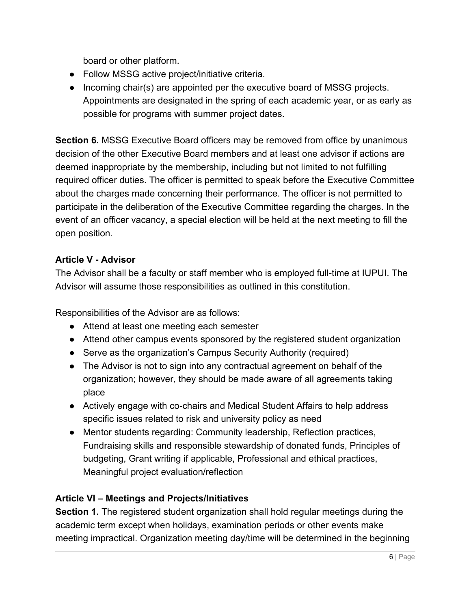board or other platform.

- Follow MSSG active project/initiative criteria.
- Incoming chair(s) are appointed per the executive board of MSSG projects. Appointments are designated in the spring of each academic year, or as early as possible for programs with summer project dates.

**Section 6.** MSSG Executive Board officers may be removed from office by unanimous decision of the other Executive Board members and at least one advisor if actions are deemed inappropriate by the membership, including but not limited to not fulfilling required officer duties. The officer is permitted to speak before the Executive Committee about the charges made concerning their performance. The officer is not permitted to participate in the deliberation of the Executive Committee regarding the charges. In the event of an officer vacancy, a special election will be held at the next meeting to fill the open position.

## **Article V - Advisor**

The Advisor shall be a faculty or staff member who is employed full-time at IUPUI. The Advisor will assume those responsibilities as outlined in this constitution.

Responsibilities of the Advisor are as follows:

- Attend at least one meeting each semester
- Attend other campus events sponsored by the registered student organization
- Serve as the organization's Campus Security Authority (required)
- The Advisor is not to sign into any contractual agreement on behalf of the organization; however, they should be made aware of all agreements taking place
- Actively engage with co-chairs and Medical Student Affairs to help address specific issues related to risk and university policy as need
- Mentor students regarding: Community leadership, Reflection practices, Fundraising skills and responsible stewardship of donated funds, Principles of budgeting, Grant writing if applicable, Professional and ethical practices, Meaningful project evaluation/reflection

## **Article VI – Meetings and Projects/Initiatives**

**Section 1.** The registered student organization shall hold regular meetings during the academic term except when holidays, examination periods or other events make meeting impractical. Organization meeting day/time will be determined in the beginning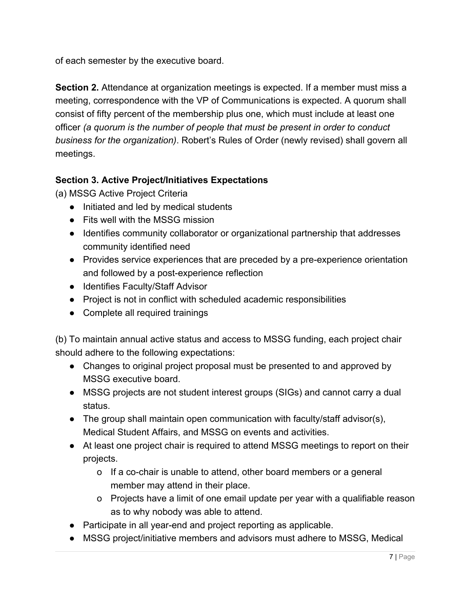of each semester by the executive board.

**Section 2.** Attendance at organization meetings is expected. If a member must miss a meeting, correspondence with the VP of Communications is expected. A quorum shall consist of fifty percent of the membership plus one, which must include at least one officer *(a quorum is the number of people that must be present in order to conduct business for the organization)*. Robert's Rules of Order (newly revised) shall govern all meetings.

## **Section 3. Active Project/Initiatives Expectations**

(a) MSSG Active Project Criteria

- Initiated and led by medical students
- Fits well with the MSSG mission
- Identifies community collaborator or organizational partnership that addresses community identified need
- Provides service experiences that are preceded by a pre-experience orientation and followed by a post-experience reflection
- Identifies Faculty/Staff Advisor
- Project is not in conflict with scheduled academic responsibilities
- Complete all required trainings

(b) To maintain annual active status and access to MSSG funding, each project chair should adhere to the following expectations:

- Changes to original project proposal must be presented to and approved by MSSG executive board.
- MSSG projects are not student interest groups (SIGs) and cannot carry a dual status.
- The group shall maintain open communication with faculty/staff advisor(s), Medical Student Affairs, and MSSG on events and activities.
- At least one project chair is required to attend MSSG meetings to report on their projects.
	- o If a co-chair is unable to attend, other board members or a general member may attend in their place.
	- o Projects have a limit of one email update per year with a qualifiable reason as to why nobody was able to attend.
- Participate in all year-end and project reporting as applicable.
- MSSG project/initiative members and advisors must adhere to MSSG, Medical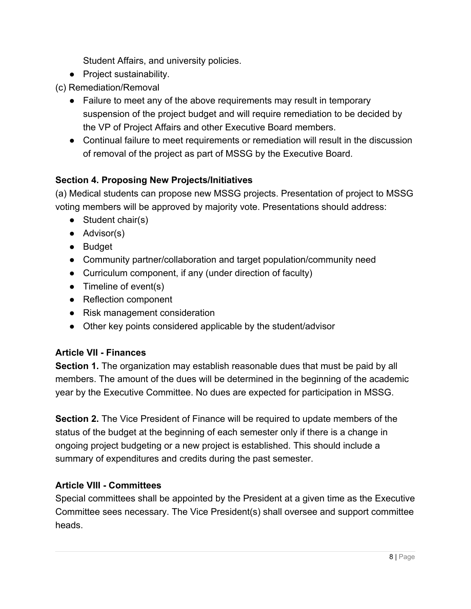Student Affairs, and university policies.

- Project sustainability.
- (c) Remediation/Removal
	- Failure to meet any of the above requirements may result in temporary suspension of the project budget and will require remediation to be decided by the VP of Project Affairs and other Executive Board members.
	- Continual failure to meet requirements or remediation will result in the discussion of removal of the project as part of MSSG by the Executive Board.

## **Section 4. Proposing New Projects/Initiatives**

(a) Medical students can propose new MSSG projects. Presentation of project to MSSG voting members will be approved by majority vote. Presentations should address:

- Student chair(s)
- Advisor(s)
- Budget
- Community partner/collaboration and target population/community need
- Curriculum component, if any (under direction of faculty)
- $\bullet$  Timeline of event(s)
- Reflection component
- Risk management consideration
- Other key points considered applicable by the student/advisor

#### **Article VII - Finances**

**Section 1.** The organization may establish reasonable dues that must be paid by all members. The amount of the dues will be determined in the beginning of the academic year by the Executive Committee. No dues are expected for participation in MSSG.

**Section 2.** The Vice President of Finance will be required to update members of the status of the budget at the beginning of each semester only if there is a change in ongoing project budgeting or a new project is established. This should include a summary of expenditures and credits during the past semester.

#### **Article VIII - Committees**

Special committees shall be appointed by the President at a given time as the Executive Committee sees necessary. The Vice President(s) shall oversee and support committee heads.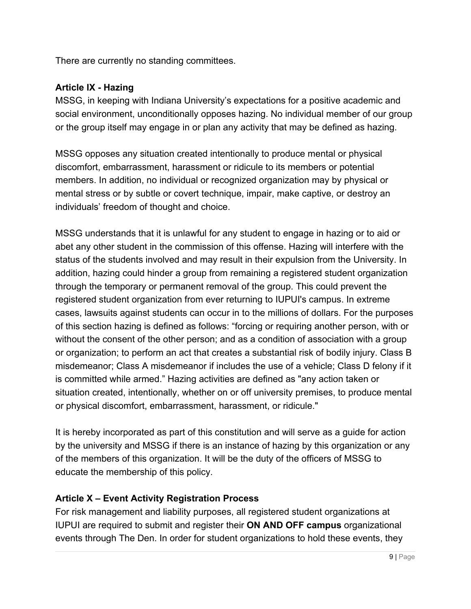There are currently no standing committees.

# **Article IX - Hazing**

MSSG, in keeping with Indiana University's expectations for a positive academic and social environment, unconditionally opposes hazing. No individual member of our group or the group itself may engage in or plan any activity that may be defined as hazing.

MSSG opposes any situation created intentionally to produce mental or physical discomfort, embarrassment, harassment or ridicule to its members or potential members. In addition, no individual or recognized organization may by physical or mental stress or by subtle or covert technique, impair, make captive, or destroy an individuals' freedom of thought and choice.

MSSG understands that it is unlawful for any student to engage in hazing or to aid or abet any other student in the commission of this offense. Hazing will interfere with the status of the students involved and may result in their expulsion from the University. In addition, hazing could hinder a group from remaining a registered student organization through the temporary or permanent removal of the group. This could prevent the registered student organization from ever returning to IUPUI's campus. In extreme cases, lawsuits against students can occur in to the millions of dollars. For the purposes of this section hazing is defined as follows: "forcing or requiring another person, with or without the consent of the other person; and as a condition of association with a group or organization; to perform an act that creates a substantial risk of bodily injury. Class B misdemeanor; Class A misdemeanor if includes the use of a vehicle; Class D felony if it is committed while armed." Hazing activities are defined as "any action taken or situation created, intentionally, whether on or off university premises, to produce mental or physical discomfort, embarrassment, harassment, or ridicule."

It is hereby incorporated as part of this constitution and will serve as a guide for action by the university and MSSG if there is an instance of hazing by this organization or any of the members of this organization. It will be the duty of the officers of MSSG to educate the membership of this policy.

## **Article X – Event Activity Registration Process**

For risk management and liability purposes, all registered student organizations at IUPUI are required to submit and register their **ON AND OFF campus** organizational events through The Den. In order for student organizations to hold these events, they